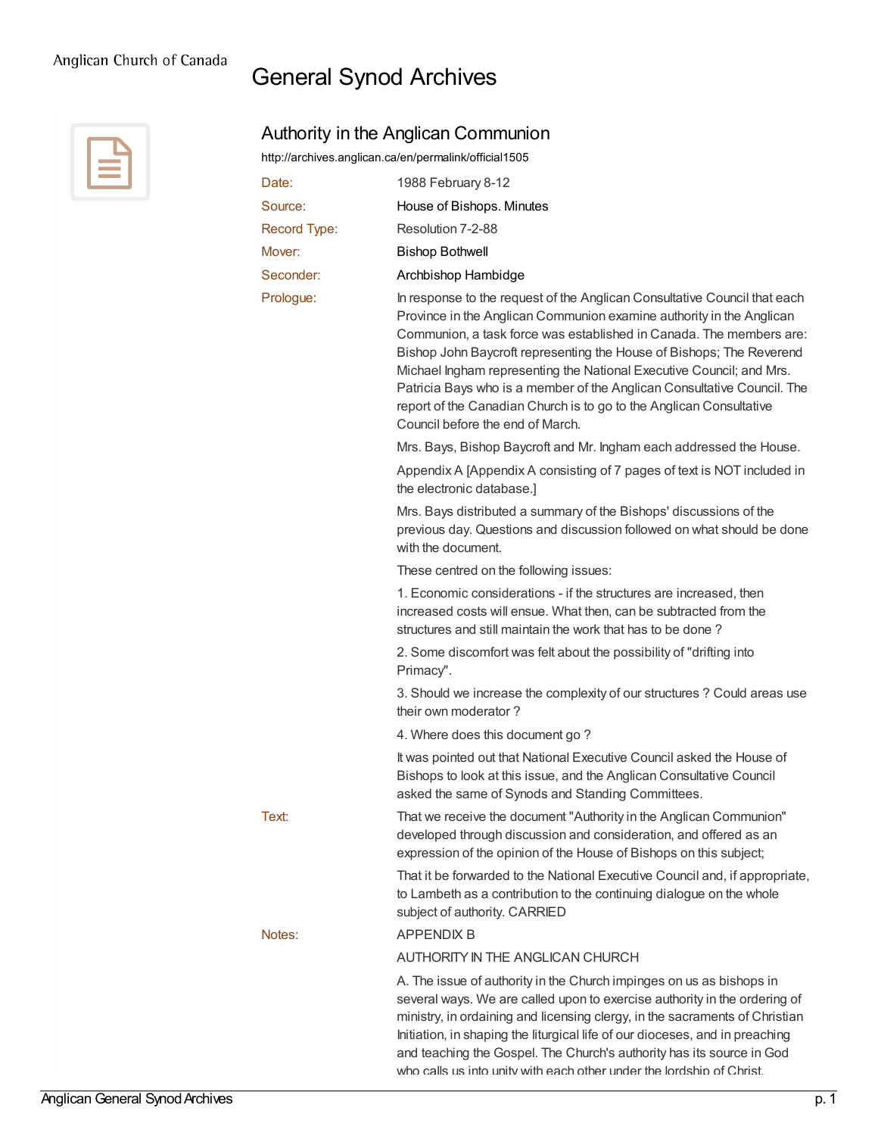## General Synod Archives



|              | http://archives.anglican.ca/en/permalink/official1505                                                                                                                                                                                                                                                                                                                                                                                                                                                                                                          |
|--------------|----------------------------------------------------------------------------------------------------------------------------------------------------------------------------------------------------------------------------------------------------------------------------------------------------------------------------------------------------------------------------------------------------------------------------------------------------------------------------------------------------------------------------------------------------------------|
| Date:        | 1988 February 8-12                                                                                                                                                                                                                                                                                                                                                                                                                                                                                                                                             |
| Source:      | House of Bishops. Minutes                                                                                                                                                                                                                                                                                                                                                                                                                                                                                                                                      |
| Record Type: | Resolution 7-2-88                                                                                                                                                                                                                                                                                                                                                                                                                                                                                                                                              |
| Mover:       | <b>Bishop Bothwell</b>                                                                                                                                                                                                                                                                                                                                                                                                                                                                                                                                         |
| Seconder:    | Archbishop Hambidge                                                                                                                                                                                                                                                                                                                                                                                                                                                                                                                                            |
| Prologue:    | In response to the request of the Anglican Consultative Council that each<br>Province in the Anglican Communion examine authority in the Anglican<br>Communion, a task force was established in Canada. The members are:<br>Bishop John Baycroft representing the House of Bishops; The Reverend<br>Michael Ingham representing the National Executive Council; and Mrs.<br>Patricia Bays who is a member of the Anglican Consultative Council. The<br>report of the Canadian Church is to go to the Anglican Consultative<br>Council before the end of March. |
|              | Mrs. Bays, Bishop Baycroft and Mr. Ingham each addressed the House.                                                                                                                                                                                                                                                                                                                                                                                                                                                                                            |
|              | Appendix A [Appendix A consisting of 7 pages of text is NOT included in<br>the electronic database.]                                                                                                                                                                                                                                                                                                                                                                                                                                                           |
|              | Mrs. Bays distributed a summary of the Bishops' discussions of the<br>previous day. Questions and discussion followed on what should be done<br>with the document.                                                                                                                                                                                                                                                                                                                                                                                             |
|              | These centred on the following issues:                                                                                                                                                                                                                                                                                                                                                                                                                                                                                                                         |
|              | 1. Economic considerations - if the structures are increased, then<br>increased costs will ensue. What then, can be subtracted from the<br>structures and still maintain the work that has to be done?                                                                                                                                                                                                                                                                                                                                                         |
|              | 2. Some discomfort was felt about the possibility of "drifting into<br>Primacy".                                                                                                                                                                                                                                                                                                                                                                                                                                                                               |
|              | 3. Should we increase the complexity of our structures ? Could areas use<br>their own moderator?                                                                                                                                                                                                                                                                                                                                                                                                                                                               |
|              | 4. Where does this document go?                                                                                                                                                                                                                                                                                                                                                                                                                                                                                                                                |
|              | It was pointed out that National Executive Council asked the House of<br>Bishops to look at this issue, and the Anglican Consultative Council<br>asked the same of Synods and Standing Committees.                                                                                                                                                                                                                                                                                                                                                             |
| Text:        | That we receive the document "Authority in the Anglican Communion"<br>developed through discussion and consideration, and offered as an<br>expression of the opinion of the House of Bishops on this subject;                                                                                                                                                                                                                                                                                                                                                  |
|              | That it be forwarded to the National Executive Council and, if appropriate,<br>to Lambeth as a contribution to the continuing dialogue on the whole<br>subject of authority. CARRIED                                                                                                                                                                                                                                                                                                                                                                           |
| Notes:       | <b>APPENDIX B</b>                                                                                                                                                                                                                                                                                                                                                                                                                                                                                                                                              |
|              | AUTHORITY IN THE ANGLICAN CHURCH                                                                                                                                                                                                                                                                                                                                                                                                                                                                                                                               |
|              | A. The issue of authority in the Church impinges on us as bishops in<br>several ways. We are called upon to exercise authority in the ordering of<br>ministry, in ordaining and licensing clergy, in the sacraments of Christian<br>Initiation, in shaping the liturgical life of our dioceses, and in preaching<br>and teaching the Gospel. The Church's authority has its source in God<br>who calls us into unity with each other under the lordship of Christ                                                                                              |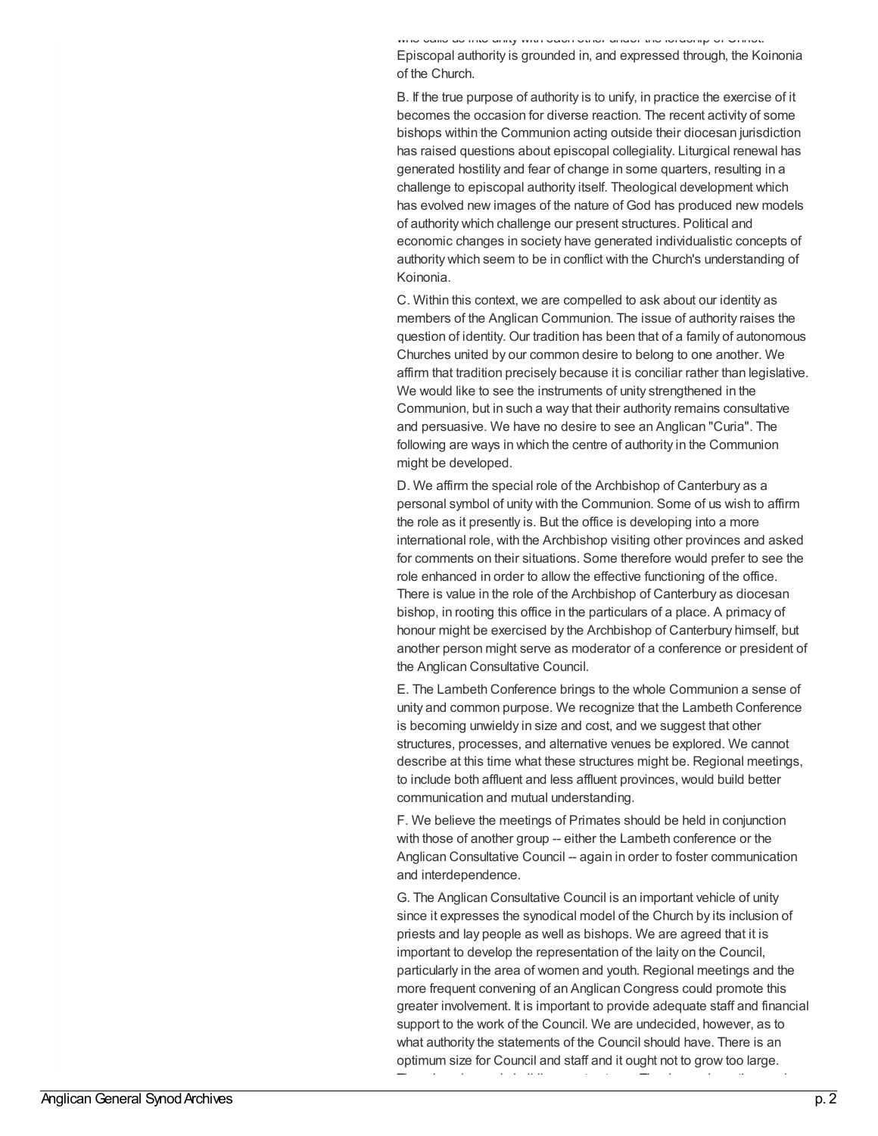who calls us into unity with each other under the lordship of Christ.

Episcopal authority is grounded in, and expressed through, the Koinonia of the Church.

B. If the true purpose of authority is to unify, in practice the exercise of it becomes the occasion for diverse reaction. The recent activity of some bishops within the Communion acting outside their diocesan jurisdiction has raised questions about episcopal collegiality. Liturgical renewal has generated hostility and fear of change in some quarters, resulting in a challenge to episcopal authority itself. Theological development which has evolved new images of the nature of God has produced new models of authority which challenge our present structures. Political and economic changes in society have generated individualistic concepts of authority which seem to be in conflict with the Church's understanding of Koinonia.

C. Within this context, we are compelled to ask about our identity as members of the Anglican Communion. The issue of authority raises the question of identity. Our tradition has been that of a family of autonomous Churches united by our common desire to belong to one another. We affirm that tradition precisely because it is conciliar rather than legislative. We would like to see the instruments of unity strengthened in the Communion, but in such a way that their authority remains consultative and persuasive. We have no desire to see an Anglican "Curia". The following are ways in which the centre of authority in the Communion might be developed.

D. We affirm the special role of the Archbishop of Canterbury as a personal symbol of unity with the Communion. Some of us wish to affirm the role as it presently is. But the office is developing into a more international role, with the Archbishop visiting other provinces and asked for comments on their situations. Some therefore would prefer to see the role enhanced in order to allow the effective functioning of the office. There is value in the role of the Archbishop of Canterbury as diocesan bishop, in rooting this office in the particulars of a place. A primacy of honour might be exercised by the Archbishop of Canterbury himself, but another person might serve as moderator of a conference or president of the Anglican Consultative Council.

E. The Lambeth Conference brings to the whole Communion a sense of unity and common purpose. We recognize that the Lambeth Conference is becoming unwieldy in size and cost, and we suggest that other structures, processes, and alternative venues be explored. We cannot describe at this time what these structures might be. Regional meetings, to include both affluent and less affluent provinces, would build better communication and mutual understanding.

F. We believe the meetings of Primates should be held in conjunction with those of another group -- either the Lambeth conference or the Anglican Consultative Council -- again in order to foster communication and interdependence.

G. The Anglican Consultative Council is an important vehicle of unity since it expresses the synodical model of the Church by its inclusion of priests and lay people as well as bishops. We are agreed that it is important to develop the representation of the laity on the Council, particularly in the area of women and youth. Regional meetings and the more frequent convening of an Anglican Congress could promote this greater involvement. It is important to provide adequate staff and financial support to the work of the Council. We are undecided, however, as to what authority the statements of the Council should have. There is an optimum size for Council and staff and it ought not to grow too large. There is a danger in building up structures. The demands on time and